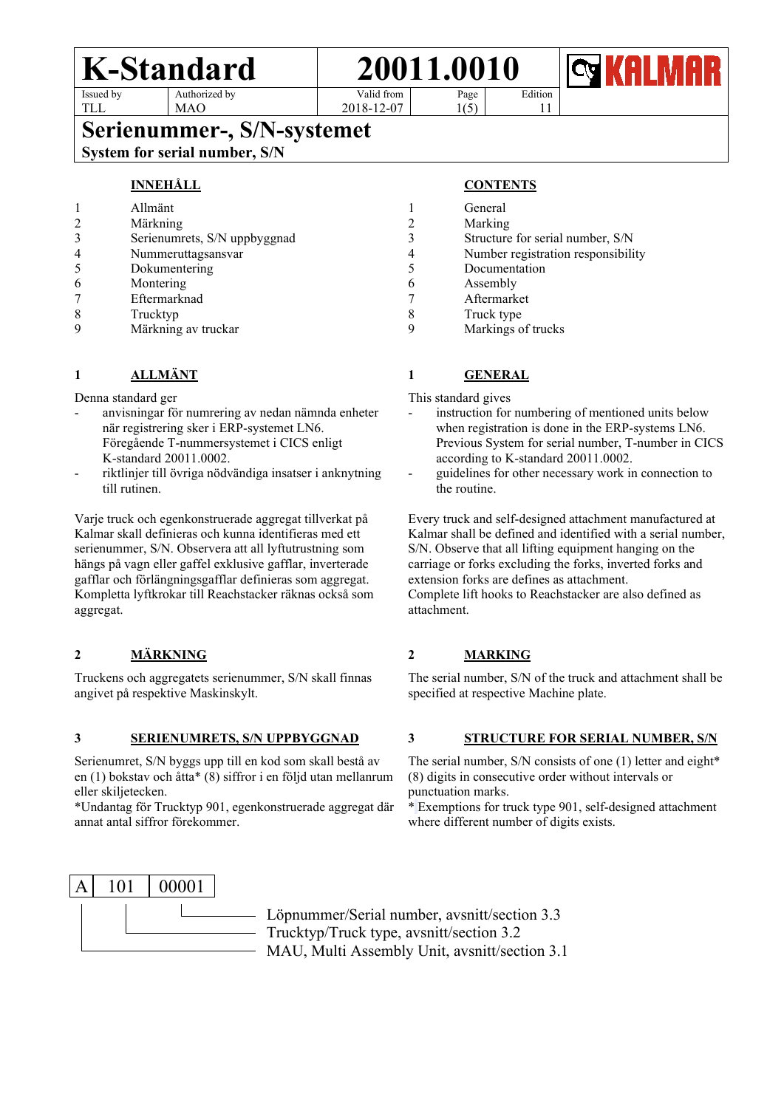TLL



 $1(5)$ 

2018-12-07

Edition

11

# **Serienummer-, S/N-systemet** Systemet System for serial number, S/N

MAO

# **INNEHÅLL**

|   | Allmänt                      |  |
|---|------------------------------|--|
|   | Märkning                     |  |
|   | Serienumrets, S/N uppbyggnad |  |
|   | Nummeruttagsansvar           |  |
|   | Dokumentering                |  |
| 6 | Montering                    |  |
|   | Eftermarknad                 |  |
|   | Trucktyp                     |  |
|   | Märkning av truckar          |  |

# **1 ALLMÄNT**

Denna standard ger

- anvisningar för numrering av nedan nämnda enheter när registrering sker i ERP-systemet LN6. Föregående T-nummersystemet i CICS enligt K-standard 20011.0002.
- riktlinjer till övriga nödvändiga insatser i anknytning till rutinen.

Varje truck och egenkonstruerade aggregat tillverkat på Kalmar skall definieras och kunna identifieras med ett serienummer, S/N. Observera att all lyftutrustning som hängs på vagn eller gaffel exklusive gafflar, inverterade gafflar och förlängningsgafflar definieras som aggregat. Kompletta lyftkrokar till Reachstacker räknas också som aggregat.

# **2 MÄRKNING**

Truckens och aggregatets serienummer, S/N skall finnas angivet på respektive Maskinskylt.

#### **3 SERIENUMRETS, S/N UPPBYGGNAD**

Serienumret, S/N byggs upp till en kod som skall bestå av en (1) bokstav och åtta\* (8) siffror i en följd utan mellanrum eller skiljetecken.

\*Undantag för Trucktyp 901, egenkonstruerade aggregat där annat antal siffror förekommer.

# **CONTENTS**

|   | General                            |
|---|------------------------------------|
| 2 | Marking                            |
| 3 | Structure for serial number, S/N   |
| 4 | Number registration responsibility |
| 5 | Documentation                      |
|   | Assembly                           |
|   | Aftermarket                        |
| 8 | Truck type                         |
|   | Markings of trucks                 |

# **1 GENERAL**

This standard gives

- instruction for numbering of mentioned units below when registration is done in the ERP-systems LN6. Previous System for serial number, T-number in CICS according to K-standard 20011.0002.
- guidelines for other necessary work in connection to the routine.

Every truck and self-designed attachment manufactured at Kalmar shall be defined and identified with a serial number, S/N. Observe that all lifting equipment hanging on the carriage or forks excluding the forks, inverted forks and extension forks are defines as attachment. Complete lift hooks to Reachstacker are also defined as attachment.

# **2 MARKING**

The serial number, S/N of the truck and attachment shall be specified at respective Machine plate.

# **3 STRUCTURE FOR SERIAL NUMBER, S/N**

The serial number, S/N consists of one (1) letter and eight\* (8) digits in consecutive order without intervals or punctuation marks.

\* Exemptions for truck type 901, self-designed attachment where different number of digits exists.



Löpnummer/Serial number, avsnitt/section 3.3 Trucktyp/Truck type, avsnitt/section 3.2 MAU, Multi Assembly Unit, avsnitt/section 3.1

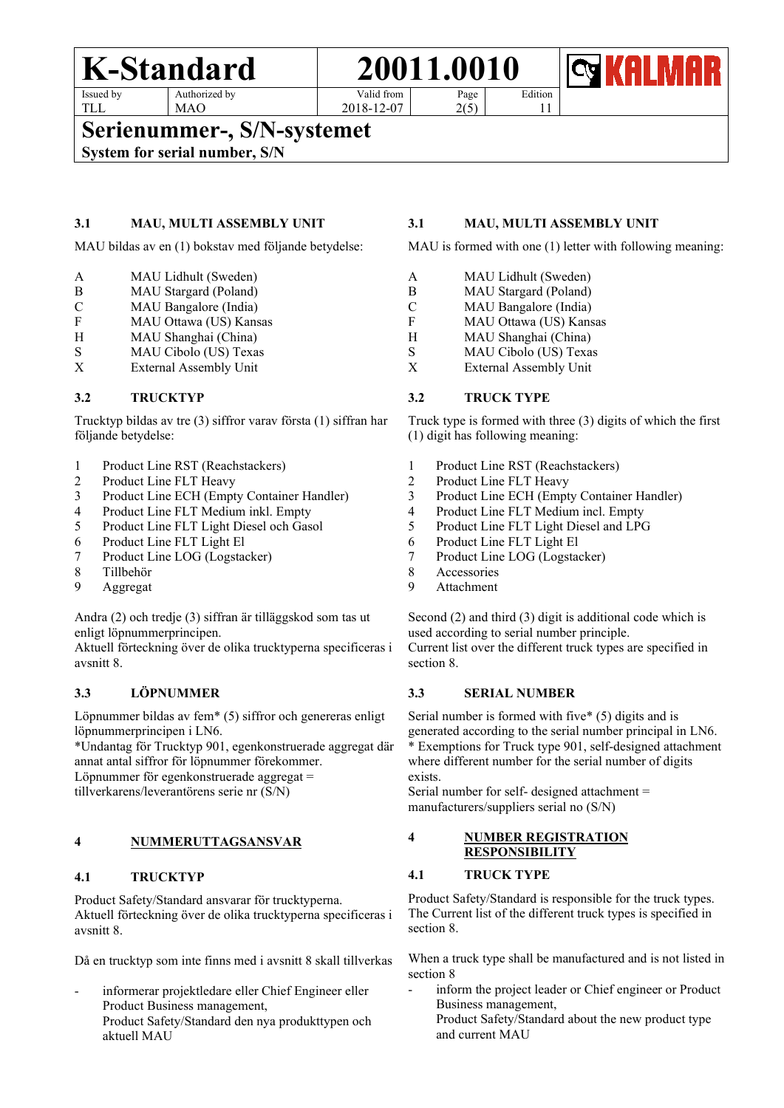# **K-Standard 20011.0010**

Issued by TLL

Authorized by MAO

Valid from 2018-12-07

Edition

Page 2(5)

# **Serienummer-, S/N-systemet**<br>System for serial number, S/N

### **3.1 MAU, MULTI ASSEMBLY UNIT**

MAU bildas av en (1) bokstav med följande betydelse:

- A MAU Lidhult (Sweden)
- B MAU Stargard (Poland)
- C MAU Bangalore (India)
- F MAU Ottawa (US) Kansas
- H MAU Shanghai (China)<br>S MAU Cibolo (US) Texas
- MAU Cibolo (US) Texas
- X External Assembly Unit

# **3.2 TRUCKTYP**

Trucktyp bildas av tre (3) siffror varav första (1) siffran har följande betydelse:

- 1 Product Line RST (Reachstackers)
- 2 Product Line FLT Heavy<br>3 Product Line ECH (Empt
- 3 Product Line ECH (Empty Container Handler)
- 4 Product Line FLT Medium inkl. Empty
- 5 Product Line FLT Light Diesel och Gasol
- 6 Product Line FLT Light El
- 7 Product Line LOG (Logstacker)
- 8 Tillbehör
- 9 Aggregat

Andra (2) och tredje (3) siffran är tilläggskod som tas ut enligt löpnummerprincipen.

Aktuell förteckning över de olika trucktyperna specificeras i avsnitt 8.

# **3.3 LÖPNUMMER**

Löpnummer bildas av fem\* (5) siffror och genereras enligt löpnummerprincipen i LN6.

\*Undantag för Trucktyp 901, egenkonstruerade aggregat där annat antal siffror för löpnummer förekommer.

Löpnummer för egenkonstruerade aggregat =

tillverkarens/leverantörens serie nr (S/N)

# **4 NUMMERUTTAGSANSVAR**

#### **4.1 TRUCKTYP**

Product Safety/Standard ansvarar för trucktyperna. Aktuell förteckning över de olika trucktyperna specificeras i avsnitt 8.

Då en trucktyp som inte finns med i avsnitt 8 skall tillverkas

informerar projektledare eller Chief Engineer eller Product Business management, Product Safety/Standard den nya produkttypen och aktuell MAU

### **3.1 MAU, MULTI ASSEMBLY UNIT**

11

MAU is formed with one (1) letter with following meaning:

- A MAU Lidhult (Sweden)
- B MAU Stargard (Poland)
- C MAU Bangalore (India)
- F MAU Ottawa (US) Kansas
- H MAU Shanghai (China)<br>S MAU Cibolo (US) Texas
- S<br>
X MAU Cibolo (US) Texas<br>
X External Assembly Unit
- External Assembly Unit

## **3.2 TRUCK TYPE**

Truck type is formed with three (3) digits of which the first (1) digit has following meaning:

- 1 Product Line RST (Reachstackers)
- 2 Product Line FLT Heavy<br>3 Product Line ECH (Empt
- 3 Product Line ECH (Empty Container Handler)
- 4 Product Line FLT Medium incl. Empty
- 5 Product Line FLT Light Diesel and LPG
- 6 Product Line FLT Light El
- 7 Product Line LOG (Logstacker)
- 8 Accessories
- 9 Attachment

Second (2) and third (3) digit is additional code which is used according to serial number principle. Current list over the different truck types are specified in section 8.

#### **3.3 SERIAL NUMBER**

Serial number is formed with five\* (5) digits and is generated according to the serial number principal in LN6. \* Exemptions for Truck type 901, self-designed attachment where different number for the serial number of digits exists.

Serial number for self- designed attachment = manufacturers/suppliers serial no (S/N)

# **4 NUMBER REGISTRATION RESPONSIBILITY**

#### **4.1 TRUCK TYPE**

Product Safety/Standard is responsible for the truck types. The Current list of the different truck types is specified in section 8.

When a truck type shall be manufactured and is not listed in section 8

- inform the project leader or Chief engineer or Product Business management,
	- Product Safety/Standard about the new product type and current MAU

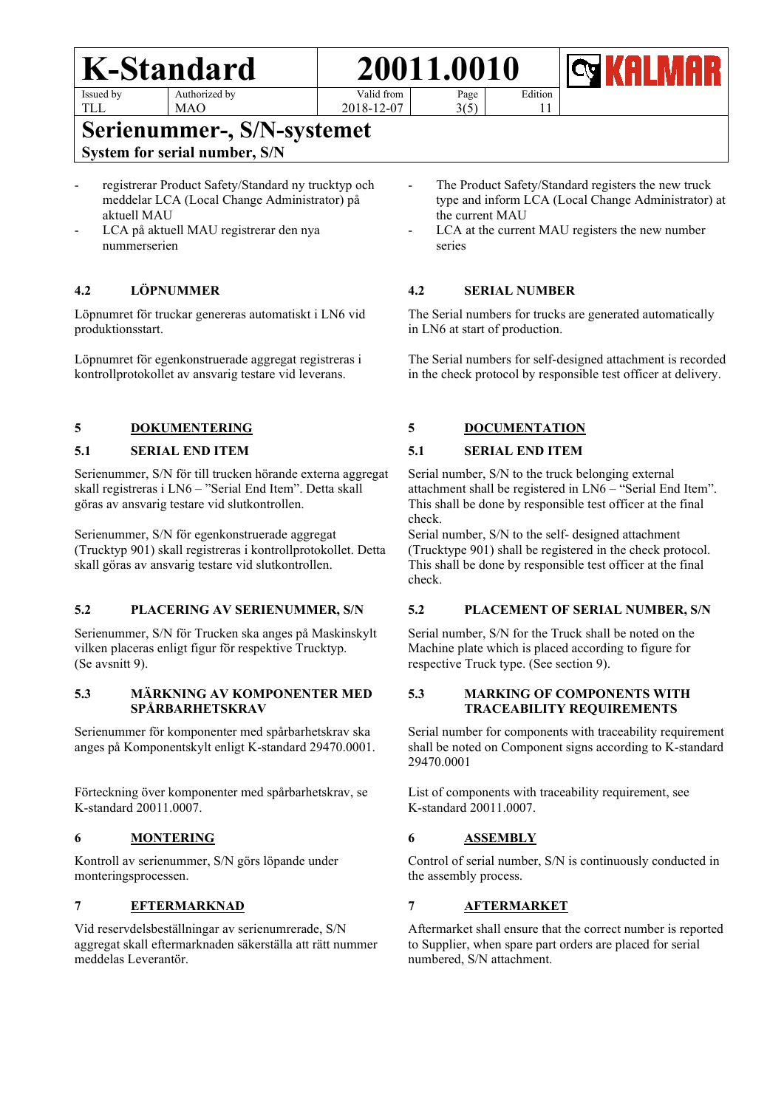MAO

TLL

Valid from

2018-12-07

Page 3(5) Edition 11



# **Serienummer-, S/N-systemet** Systemet System for serial number, S/N

- registrerar Product Safety/Standard ny trucktyp och meddelar LCA (Local Change Administrator) på aktuell MAU
- LCA på aktuell MAU registrerar den nya nummerserien

# **4.2 LÖPNUMMER**

Löpnumret för truckar genereras automatiskt i LN6 vid produktionsstart.

Löpnumret för egenkonstruerade aggregat registreras i kontrollprotokollet av ansvarig testare vid leverans.

# **5 DOKUMENTERING**

## **5.1 SERIAL END ITEM**

Serienummer, S/N för till trucken hörande externa aggregat skall registreras i LN6 – "Serial End Item". Detta skall göras av ansvarig testare vid slutkontrollen.

Serienummer, S/N för egenkonstruerade aggregat (Trucktyp 901) skall registreras i kontrollprotokollet. Detta skall göras av ansvarig testare vid slutkontrollen.

#### **5.2 PLACERING AV SERIENUMMER, S/N**

Serienummer, S/N för Trucken ska anges på Maskinskylt vilken placeras enligt figur för respektive Trucktyp. (Se avsnitt 9).

#### **5.3 MÄRKNING AV KOMPONENTER MED SPÅRBARHETSKRAV**

Serienummer för komponenter med spårbarhetskrav ska anges på Komponentskylt enligt K-standard 29470.0001.

Förteckning över komponenter med spårbarhetskrav, se K-standard 20011.0007.

#### **6 MONTERING**

Kontroll av serienummer, S/N görs löpande under monteringsprocessen.

#### **7 EFTERMARKNAD**

Vid reservdelsbeställningar av serienumrerade, S/N aggregat skall eftermarknaden säkerställa att rätt nummer meddelas Leverantör.

- The Product Safety/Standard registers the new truck type and inform LCA (Local Change Administrator) at the current MAU
- LCA at the current MAU registers the new number series

#### **4.2 SERIAL NUMBER**

The Serial numbers for trucks are generated automatically in LN6 at start of production.

The Serial numbers for self-designed attachment is recorded in the check protocol by responsible test officer at delivery.

# **5 DOCUMENTATION**

## **5.1 SERIAL END ITEM**

Serial number, S/N to the truck belonging external attachment shall be registered in LN6 – "Serial End Item". This shall be done by responsible test officer at the final check.

Serial number, S/N to the self- designed attachment (Trucktype 901) shall be registered in the check protocol. This shall be done by responsible test officer at the final check.

#### **5.2 PLACEMENT OF SERIAL NUMBER, S/N**

Serial number, S/N for the Truck shall be noted on the Machine plate which is placed according to figure for respective Truck type. (See section 9).

#### **5.3 MARKING OF COMPONENTS WITH TRACEABILITY REQUIREMENTS**

Serial number for components with traceability requirement shall be noted on Component signs according to K-standard 29470.0001

List of components with traceability requirement, see K-standard 20011.0007.

# **6 ASSEMBLY**

Control of serial number, S/N is continuously conducted in the assembly process.

# **7 AFTERMARKET**

Aftermarket shall ensure that the correct number is reported to Supplier, when spare part orders are placed for serial numbered, S/N attachment.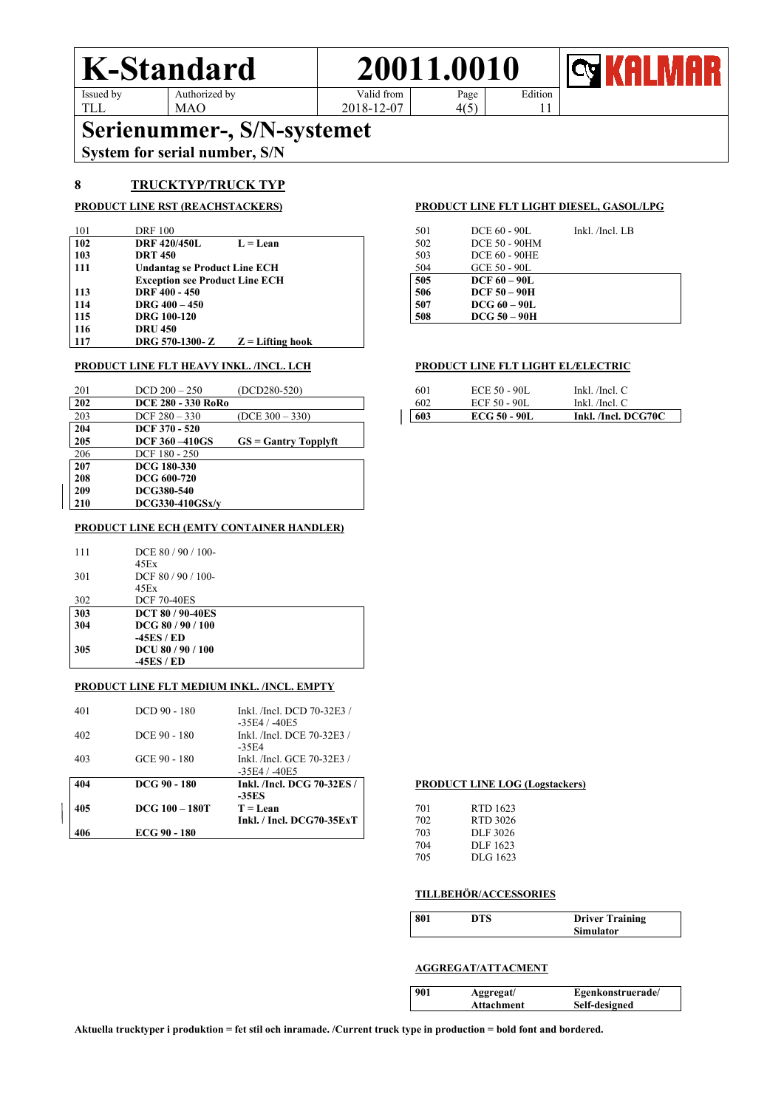TLL



 $4(5)$ 

2018-12-07

Edition 11

Serienummer-, S/N-systemet<br>System for serial number, S/N

MAO

#### **8 TRUCKTYP/TRUCK TYP**

| 101 | <b>DRF</b> 100                        | 501 | DCE 60 - 90L         | Inkl. /Incl. LB |
|-----|---------------------------------------|-----|----------------------|-----------------|
| 102 | <b>DRF 420/450L</b><br>$L = Lean$     | 502 | DCE 50 - 90HM        |                 |
| 103 | <b>DRT 450</b>                        | 503 | <b>DCE 60 - 90HE</b> |                 |
| 111 | <b>Undantag se Product Line ECH</b>   | 504 | GCE 50 - 90L         |                 |
|     | <b>Exception see Product Line ECH</b> | 505 | $DCF60-90L$          |                 |
| 113 | DRF 400 - 450                         | 506 | $DCF$ 50 – 90H       |                 |
| 114 | DRG $400 - 450$                       | 507 | $DCG_60 - 90L$       |                 |
| 115 | <b>DRG</b> 100-120                    | 508 | $DCG$ 50 – 90H       |                 |
| 116 | <b>DRU 450</b>                        |     |                      |                 |
| 117 | DRG 570-1300-Z<br>$Z =$ Lifting hook  |     |                      |                 |

#### **PRODUCT LINE FLT HEAVY INKL. /INCL. LCH PRODUCT LINE FLT LIGHT EL/ELECTRIC**

| 201 | $DCD 200 - 250$           | $(DCD280-520)$          | 601 | ECE 50 - 90L        | Inkl. $/$ Incl. $C$ |
|-----|---------------------------|-------------------------|-----|---------------------|---------------------|
| 202 | <b>DCE 280 - 330 RoRo</b> |                         | 602 | ECF 50 - 90L        | Inkl. /Incl. C      |
| 203 | $DCF 280 - 330$           | $(DCE 300 - 330)$       | 603 | <b>ECG 50 - 90L</b> | Inkl. /Incl. DCG70C |
| 204 | <b>DCF 370 - 520</b>      |                         |     |                     |                     |
| 205 | <b>DCF 360 -410GS</b>     | $GS = G$ antry Topplyft |     |                     |                     |
| 206 | DCF 180 - 250             |                         |     |                     |                     |
| 207 | DCG 180-330               |                         |     |                     |                     |
| 208 | DCG 600-720               |                         |     |                     |                     |
| 209 | DCG380-540                |                         |     |                     |                     |
| 210 | $DCG$ 330-410 $GSx/v$     |                         |     |                     |                     |

#### **PRODUCT LINE ECH (EMTY CONTAINER HANDLER)**

| 111 | DCE $80/90/100$ -       |  |
|-----|-------------------------|--|
|     | 45Ex                    |  |
| 301 | DCF $80/90/100$ -       |  |
|     | 45Ex                    |  |
| 302 | <b>DCF 70-40ES</b>      |  |
| 303 | <b>DCT 80 / 90-40ES</b> |  |
| 304 | DCG 80/90/100           |  |
|     | -45ES / ED              |  |
| 305 | DCU 80 / 90 / 100       |  |
|     | -45ES / ED              |  |

#### **PRODUCT LINE FLT MEDIUM INKL. /INCL. EMPTY**

| 406 | ECG 90 - 180     |                                               | 703        | DLF 3026                    |
|-----|------------------|-----------------------------------------------|------------|-----------------------------|
| 405 | $DCG$ 100 – 180T | $T = Lean$<br>Inkl. / Incl. $DCG70-35ExT$     | 701<br>702 | RTD 1623<br><b>RTD 3026</b> |
| 404 | DCG 90 - 180     | Inkl. /Incl. DCG 70-32ES /<br>$-35ES$         |            | <b>PRODUCT LINE LO</b>      |
| 403 | GCE 90 - 180     | Inkl. /Incl. GCE 70-32E3 /<br>$-35E4/ -40E5$  |            |                             |
| 402 | DCE 90 - 180     | Inkl. /Incl. DCE 70-32E3 /<br>$-35E4$         |            |                             |
| 401 | $DCD90 - 180$    | Inkl. /Incl. DCD 70-32E3 /<br>$-35E4 / -40E5$ |            |                             |

#### **PRODUCT LINE RST (REACHSTACKERS) PRODUCT LINE FLT LIGHT DIESEL, GASOL/LPG**

| 501 | DCE 60 - 90L         | Inkl. /Incl. LB |
|-----|----------------------|-----------------|
| 502 | <b>DCE 50 - 90HM</b> |                 |
| 503 | <b>DCE 60 - 90HE</b> |                 |
| 504 | GCE 50 - 90L         |                 |
| 505 | <b>DCF 60 - 90L</b>  |                 |
| 506 | $DCF$ 50 – 90H       |                 |
| 507 | $DCG_60 - 90L$       |                 |
| 508 | <b>DCG 50 - 90H</b>  |                 |

| 601 | ECE 50 - 90L        | Inkl. /Incl. $C$    |
|-----|---------------------|---------------------|
| 602 | ECF 50 - 90L        | Inkl. /Incl. $C$    |
| 603 | <b>ECG 50 - 90L</b> | Inkl. /Incl. DCG70C |

#### **PRODUCT LINE LOG (Logstackers)**

| 701 | RTD 1623 |
|-----|----------|
| 702 | RTD 3026 |
| 703 | DLF 3026 |
| 704 | DLF 1623 |
| 705 | DLG 1623 |
|     |          |

#### **TILLBEHÖR/ACCESSORIES**

| 801 | DTS | <b>Driver Training</b> |
|-----|-----|------------------------|
|     |     | <b>Simulator</b>       |

#### **AGGREGAT/ATTACMENT**

| 901 | Aggregat/  | Egenkonstruerade/ |
|-----|------------|-------------------|
|     | Attachment | Self-designed     |